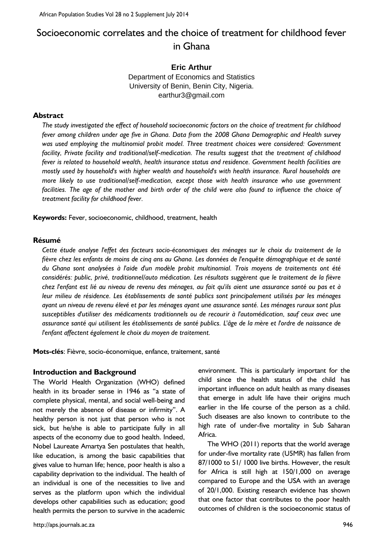# Socioeconomic correlates and the choice of treatment for childhood fever in Ghana

# **Eric Arthur**

Department of Economics and Statistics University of Benin, Benin City, Nigeria. earthur3@gmail.com

#### **Abstract**

*The study investigated the effect of household socioeconomic factors on the choice of treatment for childhood fever among children under age five in Ghana. Data from the 2008 Ghana Demographic and Health survey was used employing the multinomial probit model. Three treatment choices were considered: Government facility, Private facility and traditional/self-medication. The results suggest that the treatment of childhood fever is related to household wealth, health insurance status and residence. Government health facilities are mostly used by household's with higher wealth and household's with health insurance. Rural households are more likely to use traditional/self-medication, except those with health insurance who use government facilities. The age of the mother and birth order of the child were also found to influence the choice of treatment facility for childhood fever.*

**Keywords:** Fever, socioeconomic, childhood, treatment, health

#### **Résumé**

*Cette étude analyse l'effet des facteurs socio-économiques des ménages sur le choix du traitement de la fièvre chez les enfants de moins de cinq ans au Ghana. Les données de l'enquête démographique et de santé du Ghana sont analysées à l'aide d'un modèle probit multinomial. Trois moyens de traitements ont été considérés: public, privé, traditionnel/auto médication. Les résultats suggèrent que le traitement de la fièvre chez l'enfant est lié au niveau de revenu des ménages, au fait qu'ils aient une assurance santé ou pas et à leur milieu de résidence. Les établissements de santé publics sont principalement utilisés par les ménages ayant un niveau de revenu élevé et par les ménages ayant une assurance santé. Les ménages ruraux sont plus susceptibles d'utiliser des médicaments traditionnels ou de recourir à l'automédication, sauf ceux avec une assurance santé qui utilisent les établissements de santé publics. L'âge de la mère et l'ordre de naissance de l'enfant affectent également le choix du moyen de traitement.*

**Mots-clés**: Fièvre, socio-économique, enfance, traitement, santé

#### **Introduction and Background**

The World Health Organization (WHO) defined health in its broader sense in 1946 as "a state of complete physical, mental, and social well-being and not merely the absence of disease or infirmity". A healthy person is not just that person who is not sick, but he/she is able to participate fully in all aspects of the economy due to good health. Indeed, Nobel Laureate Amartya Sen postulates that health, like education, is among the basic capabilities that gives value to human life; hence, poor health is also a capability deprivation to the individual. The health of an individual is one of the necessities to live and serves as the platform upon which the individual develops other capabilities such as education; good health permits the person to survive in the academic environment. This is particularly important for the child since the health status of the child has important influence on adult health as many diseases that emerge in adult life have their origins much earlier in the life course of the person as a child. Such diseases are also known to contribute to the high rate of under-five mortality in Sub Saharan Africa.

The WHO (2011) reports that the world average for under-five mortality rate (U5MR) has fallen from 87/1000 to 51/ 1000 live births. However, the result for Africa is still high at 150/1,000 on average compared to Europe and the USA with an average of 20/1,000. Existing research evidence has shown that one factor that contributes to the poor health outcomes of children is the socioeconomic status of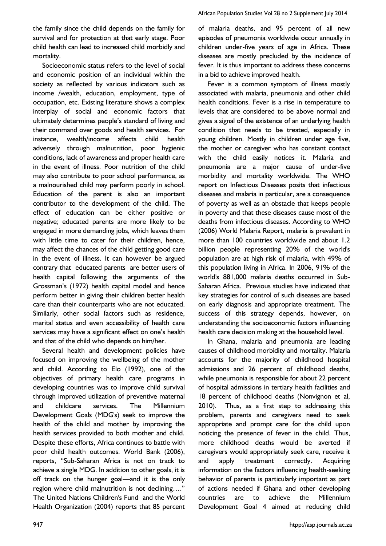the family since the child depends on the family for survival and for protection at that early stage. Poor child health can lead to increased child morbidly and mortality.

Socioeconomic status refers to the level of social and economic position of an individual within the society as reflected by various indicators such as income /wealth, education, employment, type of occupation, etc. Existing literature shows a complex interplay of social and economic factors that ultimately determines people's standard of living and their command over goods and health services. For instance, wealth/income affects child health adversely through malnutrition, poor hygienic conditions, lack of awareness and proper health care in the event of illness. Poor nutrition of the child may also contribute to poor school performance, as a malnourished child may perform poorly in school. Education of the parent is also an important contributor to the development of the child. The effect of education can be either positive or negative; educated parents are more likely to be engaged in more demanding jobs, which leaves them with little time to cater for their children, hence, may affect the chances of the child getting good care in the event of illness. It can however be argued contrary that educated parents are better users of health capital following the arguments of the Grossman's (1972) health capital model and hence perform better in giving their children better health care than their counterparts who are not educated. Similarly, other social factors such as residence, marital status and even accessibility of health care services may have a significant effect on one's health and that of the child who depends on him/her.

Several health and development policies have focused on improving the wellbeing of the mother and child. According to Elo (1992), one of the objectives of primary health care programs in developing countries was to improve child survival through improved utilization of preventive maternal and childcare services. The Millennium Development Goals (MDG's) seek to improve the health of the child and mother by improving the health services provided to both mother and child. Despite these efforts, Africa continues to battle with poor child health outcomes. World Bank (2006), reports, "Sub-Saharan Africa is not on track to achieve a single MDG. In addition to other goals, it is off track on the hunger goal—and it is the only region where child malnutrition is not declining…." The United Nations Children's Fund and the World Health Organization (2004) reports that 85 percent

of malaria deaths, and 95 percent of all new episodes of pneumonia worldwide occur annually in children under-five years of age in Africa. These diseases are mostly precluded by the incidence of fever. It is thus important to address these concerns in a bid to achieve improved health.

Fever is a common symptom of illness mostly associated with malaria, pneumonia and other child health conditions. Fever is a rise in temperature to levels that are considered to be above normal and gives a signal of the existence of an underlying health condition that needs to be treated, especially in young children. Mostly in children under age five, the mother or caregiver who has constant contact with the child easily notices it. Malaria and pneumonia are a major cause of under-five morbidity and mortality worldwide. The WHO report on Infectious Diseases posits that infectious diseases and malaria in particular, are a consequence of poverty as well as an obstacle that keeps people in poverty and that these diseases cause most of the deaths from infectious diseases. According to WHO (2006) World Malaria Report, malaria is prevalent in more than 100 countries worldwide and about 1.2 billion people representing 20% of the world's population are at high risk of malaria, with 49% of this population living in Africa. In 2006, 91% of the world's 881,000 malaria deaths occurred in Sub-Saharan Africa. Previous studies have indicated that key strategies for control of such diseases are based on early diagnosis and appropriate treatment. The success of this strategy depends, however, on understanding the socioeconomic factors influencing health care decision making at the household level.

In Ghana, malaria and pneumonia are leading causes of childhood morbidity and mortality. Malaria accounts for the majority of childhood hospital admissions and 26 percent of childhood deaths, while pneumonia is responsible for about 22 percent of hospital admissions in tertiary health facilities and 18 percent of childhood deaths (Nonvignon et al, 2010). Thus, as a first step to addressing this problem, parents and caregivers need to seek appropriate and prompt care for the child upon noticing the presence of fever in the child. Thus, more childhood deaths would be averted if caregivers would appropriately seek care, receive it and apply treatment correctly. Acquiring information on the factors influencing health-seeking behavior of parents is particularly important as part of actions needed if Ghana and other developing countries are to achieve the Millennium Development Goal 4 aimed at reducing child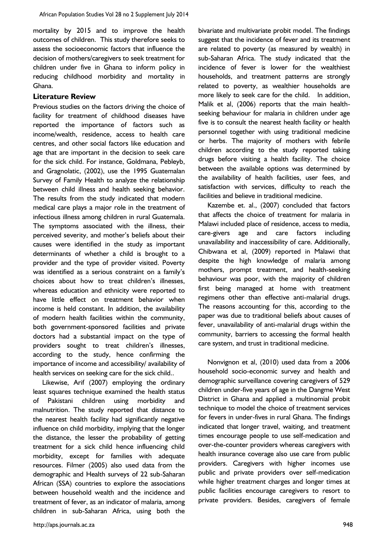mortality by 2015 and to improve the health outcomes of children. This study therefore seeks to assess the socioeconomic factors that influence the decision of mothers/caregivers to seek treatment for children under five in Ghana to inform policy in reducing childhood morbidity and mortality in Ghana.

### **Literature Review**

Previous studies on the factors driving the choice of facility for treatment of childhood diseases have reported the importance of factors such as income/wealth, residence, access to health care centres, and other social factors like education and age that are important in the decision to seek care for the sick child. For instance, Goldmana, Pebleyb, and Gragnolatic, (2002), use the 1995 Guatemalan Survey of Family Health to analyze the relationship between child illness and health seeking behavior. The results from the study indicated that modern medical care plays a major role in the treatment of infectious illness among children in rural Guatemala. The symptoms associated with the illness, their perceived severity, and mother's beliefs about their causes were identified in the study as important determinants of whether a child is brought to a provider and the type of provider visited. Poverty was identified as a serious constraint on a family's choices about how to treat children's illnesses, whereas education and ethnicity were reported to have little effect on treatment behavior when income is held constant. In addition, the availability of modern health facilities within the community, both government-sponsored facilities and private doctors had a substantial impact on the type of providers sought to treat children's illnesses, according to the study, hence confirming the importance of income and accessibility/ availability of health services on seeking care for the sick child..

Likewise, Arif (2007) employing the ordinary least squares technique examined the health status of Pakistani children using morbidity and malnutrition. The study reported that distance to the nearest health facility had significantly negative influence on child morbidity, implying that the longer the distance, the lesser the probability of getting treatment for a sick child hence influencing child morbidity, except for families with adequate resources. Filmer (2005) also used data from the demographic and Health surveys of 22 sub-Saharan African (SSA) countries to explore the associations between household wealth and the incidence and treatment of fever, as an indicator of malaria, among children in sub-Saharan Africa, using both the

bivariate and multivariate probit model. The findings suggest that the incidence of fever and its treatment are related to poverty (as measured by wealth) in sub-Saharan Africa. The study indicated that the incidence of fever is lower for the wealthiest households, and treatment patterns are strongly related to poverty, as wealthier households are more likely to seek care for the child. In addition, Malik et al, (2006) reports that the main healthseeking behaviour for malaria in children under age five is to consult the nearest health facility or health personnel together with using traditional medicine or herbs. The majority of mothers with febrile children according to the study reported taking drugs before visiting a health facility. The choice between the available options was determined by the availability of health facilities, user fees, and satisfaction with services, difficulty to reach the facilities and believe in traditional medicine.

Kazembe et. al., (2007) concluded that factors that affects the choice of treatment for malaria in Malawi included place of residence, access to media, care-givers age and care factors including unavailability and inaccessibility of care. Additionally, Chibwana et al, (2009) reported in Malawi that despite the high knowledge of malaria among mothers, prompt treatment, and health-seeking behaviour was poor, with the majority of children first being managed at home with treatment regimens other than effective anti-malarial drugs. The reasons accounting for this, according to the paper was due to traditional beliefs about causes of fever, unavailability of anti-malarial drugs within the community, barriers to accessing the formal health care system, and trust in traditional medicine.

Nonvignon et al, (2010) used data from a 2006 household socio-economic survey and health and demographic surveillance covering caregivers of 529 children under-five years of age in the Dangme West District in Ghana and applied a multinomial probit technique to model the choice of treatment services for fevers in under-fives in rural Ghana. The findings indicated that longer travel, waiting, and treatment times encourage people to use self-medication and over-the-counter providers whereas caregivers with health insurance coverage also use care from public providers. Caregivers with higher incomes use public and private providers over self-medication while higher treatment charges and longer times at public facilities encourage caregivers to resort to private providers. Besides, caregivers of female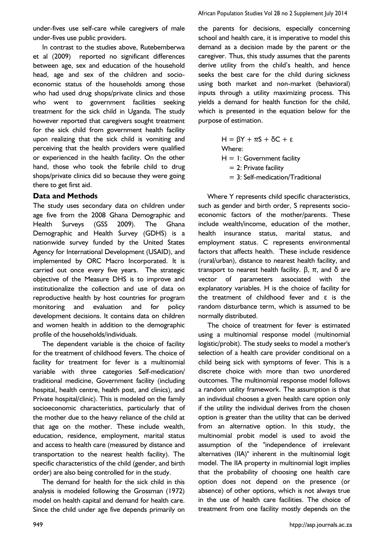under-fives use self-care while caregivers of male under-fives use public providers.

In contrast to the studies above, Rutebemberwa et al (2009) reported no significant differences between age, sex and education of the household head, age and sex of the children and socioeconomic status of the households among those who had used drug shops/private clinics and those who went to government facilities seeking treatment for the sick child in Uganda. The study however reported that caregivers sought treatment for the sick child from government health facility upon realizing that the sick child is vomiting and perceiving that the health providers were qualified or experienced in the health facility. On the other hand, those who took the febrile child to drug shops/private clinics did so because they were going there to get first aid.

## **Data and Methods**

The study uses secondary data on children under age five from the 2008 Ghana Demographic and Health Surveys (GSS 2009). The Ghana Demographic and Health Survey (GDHS) is a nationwide survey funded by the United States Agency for International Development (USAID), and implemented by ORC Macro Incorporated. It is carried out once every five years. The strategic objective of the Measure DHS is to improve and institutionalize the collection and use of data on reproductive health by host countries for program monitoring and evaluation and for policy development decisions. It contains data on children and women health in addition to the demographic profile of the households/individuals.

The dependent variable is the choice of facility for the treatment of childhood fevers. The choice of facility for treatment for fever is a multinomial variable with three categories Self-medication/ traditional medicine, Government facility (including hospital, health centre, health post, and clinics), and Private hospital/clinic). This is modeled on the family socioeconomic characteristics, particularly that of the mother due to the heavy reliance of the child at that age on the mother. These include wealth, education, residence, employment, marital status and access to health care (measured by distance and transportation to the nearest health facility). The specific characteristics of the child (gender, and birth order) are also being controlled for in the study.

The demand for health for the sick child in this analysis is modeled following the Grossman (1972) model on health capital and demand for health care. Since the child under age five depends primarily on

the parents for decisions, especially concerning school and health care, it is imperative to model this demand as a decision made by the parent or the caregiver. Thus, this study assumes that the parents derive utility from the child's health, and hence seeks the best care for the child during sickness using both market and non-market (behavioral) inputs through a utility maximizing process. This yields a demand for health function for the child, which is presented in the equation below for the purpose of estimation.

> $H = \beta Y + \pi S + \delta C + \epsilon$ Where:  $H = I$ : Government facility  $= 2$ : Private facility = 3: Self-medication/Traditional

Where Y represents child specific characteristics, such as gender and birth order, S represents socioeconomic factors of the mother/parents. These include wealth/income, education of the mother, health insurance status, marital status, and employment status. C represents environmental factors that affects health. These include residence (rural/urban), distance to nearest health facility, and transport to nearest health facility.  $\beta$ ,  $\pi$ , and  $\delta$  are vector of parameters associated with the explanatory variables. H is the choice of facility for the treatment of childhood fever and ε is the random disturbance term, which is assumed to be normally distributed.

The choice of treatment for fever is estimated using a multinomial response model (multinomial logistic/probit). The study seeks to model a mother's selection of a health care provider conditional on a child being sick with symptoms of fever. This is a discrete choice with more than two unordered outcomes. The multinomial response model follows a random utility framework. The assumption is that an individual chooses a given health care option only if the utility the individual derives from the chosen option is greater than the utility that can be derived from an alternative option. In this study, the multinomial probit model is used to avoid the assumption of the "independence of irrelevant alternatives (IIA)" inherent in the multinomial logit model. The IIA property in multinomial logit implies that the probability of choosing one health care option does not depend on the presence (or absence) of other options, which is not always true in the use of health care facilities. The choice of treatment from one facility mostly depends on the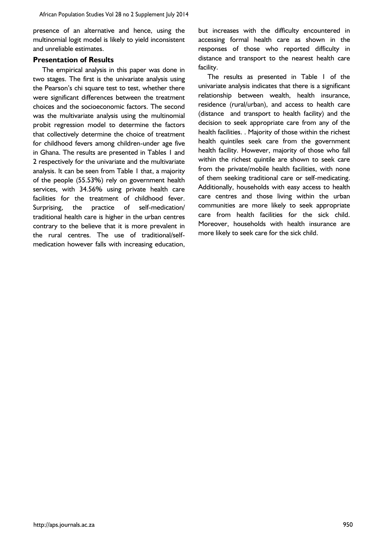presence of an alternative and hence, using the multinomial logit model is likely to yield inconsistent and unreliable estimates.

#### **Presentation of Results**

The empirical analysis in this paper was done in two stages. The first is the univariate analysis using the Pearson's chi square test to test, whether there were significant differences between the treatment choices and the socioeconomic factors. The second was the multivariate analysis using the multinomial probit regression model to determine the factors that collectively determine the choice of treatment for childhood fevers among children-under age five in Ghana. The results are presented in Tables 1 and 2 respectively for the univariate and the multivariate analysis. It can be seen from Table 1 that, a majority of the people (55.53%) rely on government health services, with 34.56% using private health care facilities for the treatment of childhood fever. Surprising, the practice of self-medication/ traditional health care is higher in the urban centres contrary to the believe that it is more prevalent in the rural centres. The use of traditional/selfmedication however falls with increasing education,

but increases with the difficulty encountered in accessing formal health care as shown in the responses of those who reported difficulty in distance and transport to the nearest health care facility.

The results as presented in Table 1 of the univariate analysis indicates that there is a significant relationship between wealth, health insurance, residence (rural/urban), and access to health care (distance and transport to health facility) and the decision to seek appropriate care from any of the health facilities. . Majority of those within the richest health quintiles seek care from the government health facility. However, majority of those who fall within the richest quintile are shown to seek care from the private/mobile health facilities, with none of them seeking traditional care or self-medicating. Additionally, households with easy access to health care centres and those living within the urban communities are more likely to seek appropriate care from health facilities for the sick child. Moreover, households with health insurance are more likely to seek care for the sick child.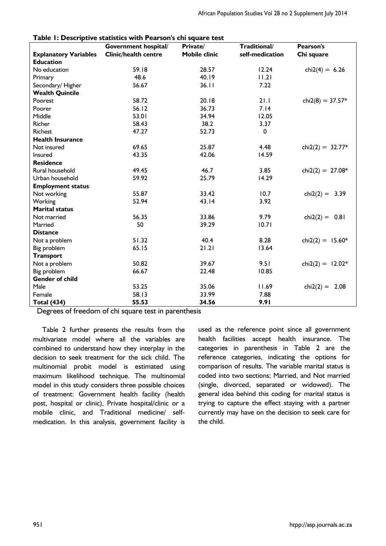| Table 1: Descriptive statistics with Pearson's chi square test |                             |                      |                 |                    |  |  |  |
|----------------------------------------------------------------|-----------------------------|----------------------|-----------------|--------------------|--|--|--|
|                                                                | Government hospital/        | Private/             | Traditional/    | Pearson's          |  |  |  |
| <b>Explanatory Variables</b>                                   | <b>Clinic/health centre</b> | <b>Mobile clinic</b> | self-medication | Chi square         |  |  |  |
| <b>Education</b>                                               |                             |                      |                 |                    |  |  |  |
| No education                                                   | 59.18                       | 28.57                | 12.24           | chi2(4) = $6.26$   |  |  |  |
| Primary                                                        | 48.6                        | 40.19                | 11.21           |                    |  |  |  |
| Secondary/Higher                                               | 56.67                       | 36.11                | 7.22            |                    |  |  |  |
| <b>Wealth Quintile</b>                                         |                             |                      |                 |                    |  |  |  |
| Poorest                                                        | 58.72                       | 20.18                | 21.1            | chi2(8) = $37.57*$ |  |  |  |
| Poorer                                                         | 56.12                       | 36.73                | 7.14            |                    |  |  |  |
| Middle                                                         | 53.01                       | 34.94                | 12.05           |                    |  |  |  |
| Richer                                                         | 58.43                       | 38.2                 | 3.37            |                    |  |  |  |
| <b>Richest</b>                                                 | 47.27                       | 52.73                | $\pmb{0}$       |                    |  |  |  |
| <b>Health Insurance</b>                                        |                             |                      |                 |                    |  |  |  |
| Not insured                                                    | 69.65                       | 25.87                | 4.48            | chi2(2) = $32.77*$ |  |  |  |
| Insured                                                        | 43.35                       | 42.06                | 14.59           |                    |  |  |  |
| <b>Residence</b>                                               |                             |                      |                 |                    |  |  |  |
| Rural household                                                | 49.45                       | 46.7                 | 3.85            | chi2(2) = $27.08*$ |  |  |  |
| Urban household                                                | 59.92                       | 25.79                | 14.29           |                    |  |  |  |
| <b>Employment status</b>                                       |                             |                      |                 |                    |  |  |  |
| Not working                                                    | 55.87                       | 33.42                | 10.7            | chi2(2) = $3.39$   |  |  |  |
| Working                                                        | 52.94                       | 43.14                | 3.92            |                    |  |  |  |
| <b>Marital status</b>                                          |                             |                      |                 |                    |  |  |  |
| Not married                                                    | 56.35                       | 33.86                | 9.79            | $chi2(2) = 0.81$   |  |  |  |
| Married                                                        | 50                          | 39.29                | 10.71           |                    |  |  |  |
| <b>Distance</b>                                                |                             |                      |                 |                    |  |  |  |
| Not a problem                                                  | 51.32                       | 40.4                 | 8.28            | chi2(2) = $15.60*$ |  |  |  |
| Big problem                                                    | 65.15                       | 21.21                | 13.64           |                    |  |  |  |
| <b>Transport</b>                                               |                             |                      |                 |                    |  |  |  |
| Not a problem                                                  | 50.82                       | 39.67                | 9.51            | chi2(2) = $12.02*$ |  |  |  |
| Big problem                                                    | 66.67                       | 22.48                | 10.85           |                    |  |  |  |
| <b>Gender of child</b>                                         |                             |                      |                 |                    |  |  |  |
| Male                                                           | 53.25                       | 35.06                | 11.69           | chi2(2) = $2.08$   |  |  |  |
| Female                                                         | 58.13                       | 33.99                | 7.88            |                    |  |  |  |
| <b>Total (434)</b>                                             | 55.53                       | 34.56                | 9.91            |                    |  |  |  |

**Table 1: Descriptive statistics with Pearson's chi square test**

Degrees of freedom of chi square test in parenthesis

Table 2 further presents the results from the multivariate model where all the variables are combined to understand how they interplay in the decision to seek treatment for the sick child. The multinomial probit model is estimated using maximum likelihood technique. The multinomial model in this study considers three possible choices of treatment: Government health facility (health post, hospital or clinic), Private hospital/clinic or a mobile clinic, and Traditional medicine/ selfmedication. In this analysis, government facility is

used as the reference point since all government health facilities accept health insurance. The categories in parenthesis in Table 2 are the reference categories, indicating the options for comparison of results. The variable marital status is coded into two sections; Married, and Not married (single, divorced, separated or widowed). The general idea behind this coding for marital status is trying to capture the effect staying with a partner currently may have on the decision to seek care for the child.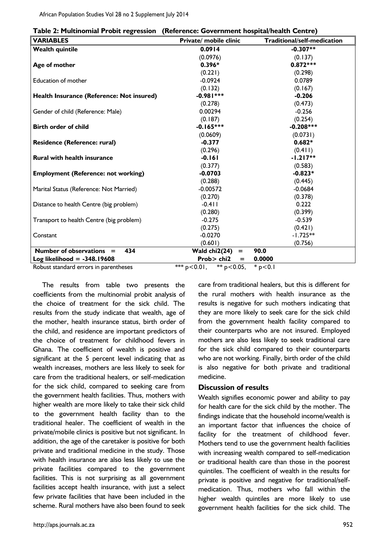|  | Table 2: Multinomial Probit regression (Reference: Government hospital/health Centre) |
|--|---------------------------------------------------------------------------------------|
|--|---------------------------------------------------------------------------------------|

| <b>VARIABLES</b>                           | Private/ mobile clinic             | Traditional/self-medication |
|--------------------------------------------|------------------------------------|-----------------------------|
| <b>Wealth quintile</b>                     | 0.0914                             | $-0.307**$                  |
|                                            | (0.0976)                           | (0.137)                     |
| Age of mother                              | $0.396*$                           | $0.872***$                  |
|                                            | (0.221)                            | (0.298)                     |
| <b>Education of mother</b>                 | $-0.0924$                          | 0.0789                      |
|                                            | (0.132)                            | (0.167)                     |
| Health Insurance (Reference: Not insured)  | $-0.981***$                        | $-0.206$                    |
|                                            | (0.278)                            | (0.473)                     |
| Gender of child (Reference: Male)          | 0.00294                            | $-0.256$                    |
|                                            | (0.187)                            | (0.254)                     |
| <b>Birth order of child</b>                | $-0.165***$                        | $-0.208***$                 |
|                                            | (0.0609)                           | (0.0731)                    |
| Residence (Reference: rural)               | $-0.377$                           | $0.682*$                    |
|                                            | (0.296)                            | (0.411)                     |
| <b>Rural with health insurance</b>         | $-0.161$                           | $-1.217**$                  |
|                                            | (0.377)                            | (0.583)                     |
| <b>Employment (Reference: not working)</b> | $-0.0703$                          | $-0.823*$                   |
|                                            | (0.288)                            | (0.445)                     |
| Marital Status (Reference: Not Married)    | $-0.00572$                         | $-0.0684$                   |
|                                            | (0.270)                            | (0.378)                     |
| Distance to health Centre (big problem)    | $-0.4$                             | 0.222                       |
|                                            | (0.280)                            | (0.399)                     |
| Transport to health Centre (big problem)   | $-0.275$                           | $-0.539$                    |
|                                            | (0.275)                            | (0.421)                     |
| Constant                                   | $-0.0270$                          | $-1.725**$                  |
|                                            | (0.601)                            | (0.756)                     |
| 434<br>Number of observations $=$          | Wald chi2(24)<br>$=$               | 90.0                        |
| Log likelihood = $-348.19608$              | Prob> chi2<br>$=$                  | 0.0000                      |
| Robust standard errors in parentheses      | *** $p < 0.01$ ,<br>** $p$ < 0.05, | $*$ p < 0.1                 |

The results from table two presents the coefficients from the multinomial probit analysis of the choice of treatment for the sick child. The results from the study indicate that wealth, age of the mother, health insurance status, birth order of the child, and residence are important predictors of the choice of treatment for childhood fevers in Ghana. The coefficient of wealth is positive and significant at the 5 percent level indicating that as wealth increases, mothers are less likely to seek for care from the traditional healers, or self-medication for the sick child, compared to seeking care from the government health facilities. Thus, mothers with higher wealth are more likely to take their sick child to the government health facility than to the traditional healer. The coefficient of wealth in the private/mobile clinics is positive but not significant. In addition, the age of the caretaker is positive for both private and traditional medicine in the study. Those with health insurance are also less likely to use the private facilities compared to the government facilities. This is not surprising as all government facilities accept health insurance, with just a select few private facilities that have been included in the scheme. Rural mothers have also been found to seek

care from traditional healers, but this is different for the rural mothers with health insurance as the results is negative for such mothers indicating that they are more likely to seek care for the sick child from the government health facility compared to their counterparts who are not insured. Employed mothers are also less likely to seek traditional care for the sick child compared to their counterparts who are not working. Finally, birth order of the child is also negative for both private and traditional medicine.

#### **Discussion of results**

Wealth signifies economic power and ability to pay for health care for the sick child by the mother. The findings indicate that the household income/wealth is an important factor that influences the choice of facility for the treatment of childhood fever. Mothers tend to use the government health facilities with increasing wealth compared to self-medication or traditional health care than those in the poorest quintiles. The coefficient of wealth in the results for private is positive and negative for traditional/selfmedication. Thus, mothers who fall within the higher wealth quintiles are more likely to use government health facilities for the sick child. The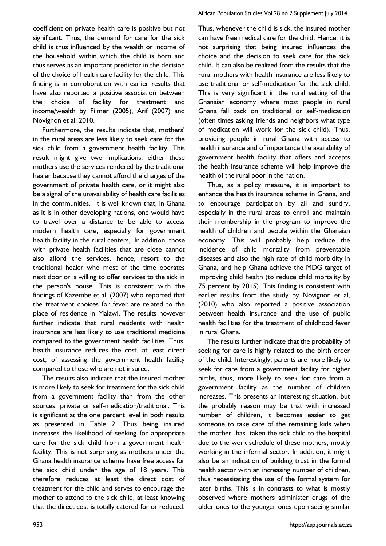coefficient on private health care is positive but not significant. Thus, the demand for care for the sick child is thus influenced by the wealth or income of the household within which the child is born and thus serves as an important predictor in the decision of the choice of health care facility for the child. This finding is in corroboration with earlier results that have also reported a positive association between the choice of facility for treatment and income/wealth by Filmer (2005), Arif (2007) and Novignon et al, 2010.

Furthermore, the results indicate that, mothers' in the rural areas are less likely to seek care for the sick child from a government health facility. This result might give two implications; either these mothers use the services rendered by the traditional healer because they cannot afford the charges of the government of private health care, or it might also be a signal of the unavailability of health care facilities in the communities. It is well known that, in Ghana as it is in other developing nations, one would have to travel over a distance to be able to access modern health care, especially for government health facility in the rural centers,. In addition, those with private health facilities that are close cannot also afford the services, hence, resort to the traditional healer who most of the time operates next door or is willing to offer services to the sick in the person's house. This is consistent with the findings of Kazembe et al, (2007) who reported that the treatment choices for fever are related to the place of residence in Malawi. The results however further indicate that rural residents with health insurance are less likely to use traditional medicine compared to the government health facilities. Thus, health insurance reduces the cost, at least direct cost, of assessing the government health facility compared to those who are not insured.

The results also indicate that the insured mother is more likely to seek for treatment for the sick child from a government facility than from the other sources, private or self-medication/traditional. This is significant at the one percent level in both results as presented in Table 2. Thus being insured increases the likelihood of seeking for appropriate care for the sick child from a government health facility. This is not surprising as mothers under the Ghana health insurance scheme have free access for the sick child under the age of 18 years. This therefore reduces at least the direct cost of treatment for the child and serves to encourage the mother to attend to the sick child, at least knowing that the direct cost is totally catered for or reduced.

Thus, whenever the child is sick, the insured mother can have free medical care for the child. Hence, it is not surprising that being insured influences the choice and the decision to seek care for the sick child. It can also be realized from the results that the rural mothers with health insurance are less likely to use traditional or self-medication for the sick child. This is very significant in the rural setting of the Ghanaian economy where most people in rural Ghana fall back on traditional or self-medication (often times asking friends and neighbors what type of medication will work for the sick child). Thus, providing people in rural Ghana with access to health insurance and of importance the availability of government health facility that offers and accepts the health insurance scheme will help improve the health of the rural poor in the nation.

Thus, as a policy measure, it is important to enhance the health insurance scheme in Ghana, and to encourage participation by all and sundry, especially in the rural areas to enroll and maintain their membership in the program to improve the health of children and people within the Ghanaian economy. This will probably help reduce the incidence of child mortality from preventable diseases and also the high rate of child morbidity in Ghana, and help Ghana achieve the MDG target of improving child health (to reduce child mortality by 75 percent by 2015). This finding is consistent with earlier results from the study by Novignon et al, (2010) who also reported a positive association between health insurance and the use of public health facilities for the treatment of childhood fever in rural Ghana.

The results further indicate that the probability of seeking for care is highly related to the birth order of the child. Interestingly, parents are more likely to seek for care from a government facility for higher births, thus, more likely to seek for care from a government facility as the number of children increases. This presents an interesting situation, but the probably reason may be that with increased number of children, it becomes easier to get someone to take care of the remaining kids when the mother has taken the sick child to the hospital due to the work schedule of these mothers, mostly working in the informal sector. In addition, it might also be an indication of building trust in the formal health sector with an increasing number of children, thus necessitating the use of the formal system for later births. This is in contrasts to what is mostly observed where mothers administer drugs of the older ones to the younger ones upon seeing similar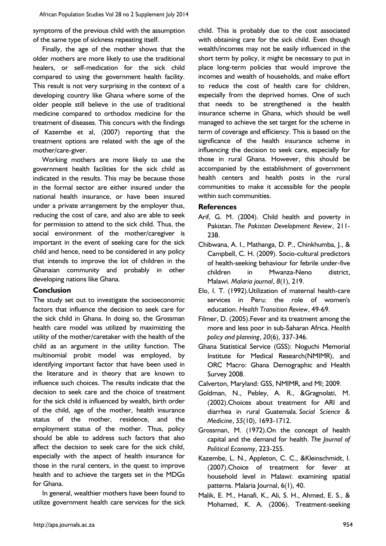symptoms of the previous child with the assumption of the same type of sickness repeating itself.

Finally, the age of the mother shows that the older mothers are more likely to use the traditional healers, or self-medication for the sick child compared to using the government health facility. This result is not very surprising in the context of a developing country like Ghana where some of the older people still believe in the use of traditional medicine compared to orthodox medicine for the treatment of diseases. This concurs with the findings of Kazembe et al, (2007) reporting that the treatment options are related with the age of the mother/care-giver.

Working mothers are more likely to use the government health facilities for the sick child as indicated in the results. This may be because those in the formal sector are either insured under the national health insurance, or have been insured under a private arrangement by the employer thus, reducing the cost of care, and also are able to seek for permission to attend to the sick child. Thus, the social environment of the mother/caregiver is important in the event of seeking care for the sick child and hence, need to be considered in any policy that intends to improve the lot of children in the Ghanaian community and probably in other developing nations like Ghana.

## **Conclusion**

The study set out to investigate the socioeconomic factors that influence the decision to seek care for the sick child in Ghana. In doing so, the Grossman health care model was utilized by maximizing the utility of the mother/caretaker with the health of the child as an argument in the utility function. The multinomial probit model was employed, by identifying important factor that have been used in the literature and in theory that are known to influence such choices. The results indicate that the decision to seek care and the choice of treatment for the sick child is influenced by wealth, birth order of the child, age of the mother, health insurance status of the mother, residence, and the employment status of the mother. Thus, policy should be able to address such factors that also affect the decision to seek care for the sick child, especially with the aspect of health insurance for those in the rural centers, in the quest to improve health and to achieve the targets set in the MDGs for Ghana.

In general, wealthier mothers have been found to utilize government health care services for the sick child. This is probably due to the cost associated with obtaining care for the sick child. Even though wealth/incomes may not be easily influenced in the short term by policy, it might be necessary to put in place long-term policies that would improve the incomes and wealth of households, and make effort to reduce the cost of health care for children, especially from the deprived homes. One of such that needs to be strengthened is the health insurance scheme in Ghana, which should be well managed to achieve the set target for the scheme in term of coverage and efficiency. This is based on the significance of the health insurance scheme in influencing the decision to seek care, especially for those in rural Ghana. However, this should be accompanied by the establishment of government health centers and health posts in the rural communities to make it accessible for the people within such communities.

## **References**

- Arif, G. M. (2004). Child health and poverty in Pakistan. *The Pakistan Development Review*, 211- 238.
- Chibwana, A. I., Mathanga, D. P., Chinkhumba, J., & Campbell, C. H. (2009). Socio-cultural predictors of health-seeking behaviour for febrile under-five children in Mwanza-Neno district, Malawi. *Malaria journal*, *8*(1), 219.
- Elo, I. T. (1992).Utilization of maternal health-care services in Peru: the role of women's education. *Health Transition Review*, 49-69.
- Filmer, D. (2005).Fever and its treatment among the more and less poor in sub-Saharan Africa. *Health policy and planning*, *20*(6), 337-346.
- Ghana Statistical Service (GSS): Noguchi Memorial Institute for Medical Research(NMIMR), and ORC Macro: Ghana Demographic and Health Survey 2008.
- Calverton, Maryland: GSS, NMIMR, and MI; 2009.
- Goldman, N., Pebley, A. R., &Gragnolati, M. (2002).Choices about treatment for ARI and diarrhea in rural Guatemala. *Social Science & Medicine*, *55*(10), 1693-1712.
- Grossman, M. (1972).On the concept of health capital and the demand for health. *The Journal of Political Economy*, 223-255.
- Kazembe, L. N., Appleton, C. C., &Kleinschmidt, I.  $(2007)$ . Choice of treatment for fever household level in Malawi: examining spatial patterns. Malaria Journal, 6(1), 40.
- Malik, E. M., Hanafi, K., Ali, S. H., Ahmed, E. S., & Mohamed, K. A. (2006). Treatment-seeking